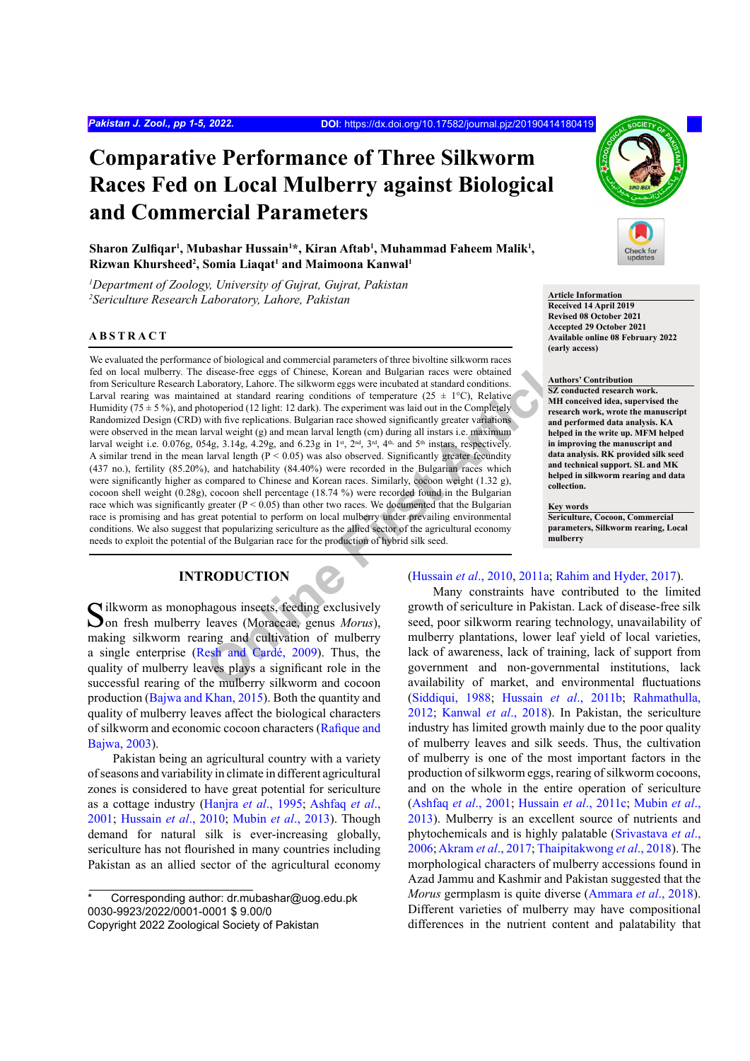# **Comparative Performance of Three Silkworm Races Fed on Local Mulberry against Biological and Commercial Parameters**

**Sharon Zulfiqar<sup>1</sup> , Mubashar Hussain1 \*, Kiran Aftab1 , Muhammad Faheem Malik1 , Rizwan Khursheed2 , Somia Liaqat<sup>1</sup> and Maimoona Kanwal1**

*1 Department of Zoology, University of Gujrat, Gujrat, Pakistan* <sup>2</sup> Sericulture Research Laboratory, Lahore, Pakistan **Article Information Article Information** 

#### **ABSTRACT**

ce of biological and commercial parameters of three bivoluties ilkworm races<br>
disease-free eggs of Chinese, Korean and Bulgarian races were obtained<br>
aboratory, Lahore. The silkworm eggs were incubated at standard conditio We evaluated the performance of biological and commercial parameters of three bivoltine silkworm races fed on local mulberry. The disease-free eggs of Chinese, Korean and Bulgarian races were obtained from Sericulture Research Laboratory, Lahore. The silkworm eggs were incubated at standard conditions. Larval rearing was maintained at standard rearing conditions of temperature  $(25 \pm 1^{\circ}C)$ , Relative Humidity  $(75 \pm 5\%)$ , and photoperiod  $(12 \text{ light: } 12 \text{ dark})$ . The experiment was laid out in the Completely Randomized Design (CRD) with five replications. Bulgarian race showed significantly greater variations were observed in the mean larval weight (g) and mean larval length (cm) during all instars i.e. maximum larval weight i.e. 0.076g, 054g, 3.14g, 4.29g, and 6.23g in 1st,  $2<sup>nd</sup>$ ,  $3<sup>nd</sup>$ ,  $4<sup>th</sup>$ , and  $5<sup>th</sup>$  instars, respectively. A similar trend in the mean larval length  $(P < 0.05)$  was also observed. Significantly greater fecundity (437 no.), fertility (85.20%), and hatchability (84.40%) were recorded in the Bulgarian races which were significantly higher as compared to Chinese and Korean races. Similarly, cocoon weight (1.32 g), cocoon shell weight (0.28g), cocoon shell percentage (18.74 %) were recorded found in the Bulgarian race which was significantly greater ( $P < 0.05$ ) than other two races. We documented that the Bulgarian race is promising and has great potential to perform on local mulberry under prevailing environmental conditions. We also suggest that popularizing sericulture as the allied sector of the agricultural economy needs to exploit the potential of the Bulgarian race for the production of hybrid silk seed.

# **INTRODUCTION**

 $\bigcap$  ilkworm as monophagous insects, feeding exclusively **O**on fresh mulberry leaves (Moraceae, genus *Morus*). making silkworm rearing and cultivation of mulberry a single enterprise (Resh and Cardé, 2009). Thus, the quality of mulberry leaves plays a significant role in the successful rearing of the mulberry silkworm and cocoon production ([Bajwa and Khan, 2015](#page-3-0)). Both the quantity and quality of mulberry leaves affect the biological characters of silkworm and economic cocoon characters ([Rafique and](#page-4-0) [Bajwa, 2003](#page-4-0)).

Pakistan being an agricultural country with a variety of seasons and variability in climate in different agricultural zones is considered to have great potential for sericulture as a cottage industry [\(Hanjra](#page-3-1) *et al*., 1995; [Ashfaq](#page-3-2) *et al*., [2001;](#page-3-2) [Hussain](#page-3-3) *et al*., 2010; [Mubin](#page-4-1) *et al*., 2013). Though demand for natural silk is ever-increasing globally, sericulture has not flourished in many countries including Pakistan as an allied sector of the agricultural economy



**Received 14 April 2019 Revised 08 October 2021 Accepted 29 October 2021 Available online 08 February 2022 (early access)**

# **Authors' Contribution**

**SZ conducted research work. MH conceived idea, supervised the research work, wrote the manuscript and performed data analysis. KA helped in the write up. MFM helped in improving the manuscript and data analysis. RK provided silk seed and technical support. SL and MK helped in silkworm rearing and data collection.**

#### **Key words**

**Sericulture, Cocoon, Commercial parameters, Silkworm rearing, Local mulberry**

# (Hussain *et al*., 2010, 2011a; [Rahim and Hyder, 2017](#page-4-2)).

Many constraints have contributed to the limited growth of sericulture in Pakistan. Lack of disease-free silk seed, poor silkworm rearing technology, unavailability of mulberry plantations, lower leaf yield of local varieties, lack of awareness, lack of training, lack of support from government and non-governmental institutions, lack availability of market, and environmental fluctuations [\(Siddiqui, 1988;](#page-4-3) Hussain *et al*[., 2011b;](#page-3-5) [Rahmathulla,](#page-4-4) [2012;](#page-4-4) [Kanwal](#page-3-6) *et al*., 2018). In Pakistan, the sericulture industry has limited growth mainly due to the poor quality of mulberry leaves and silk seeds. Thus, the cultivation of mulberry is one of the most important factors in the production of silkworm eggs, rearing of silkworm cocoons, and on the whole in the entire operation of sericulture [\(Ashfaq](#page-3-2) *et al*., 2001; [Hussain](#page-3-7) *et al*., 2011c; [Mubin](#page-4-1) *et al*., [2013\)](#page-4-1). Mulberry is an excellent source of nutrients and phytochemicals and is highly palatable ([Srivastava](#page-4-5) *et al*., [2006;](#page-4-5) [Akram](#page-3-8) *et al*., 2017; [Thaipitakwong](#page-4-6) *et al*., 2018). The morphological characters of mulberry accessions found in Azad Jammu and Kashmir and Pakistan suggested that the *Morus* germplasm is quite diverse [\(Ammara](#page-3-9) *et al*., 2018). Different varieties of mulberry may have compositional differences in the nutrient content and palatability that

Corresponding author: dr.mubashar@uog.edu.pk 0030-9923/2022/0001-0001 \$ 9.00/0 Copyright 2022 Zoological Society of Pakistan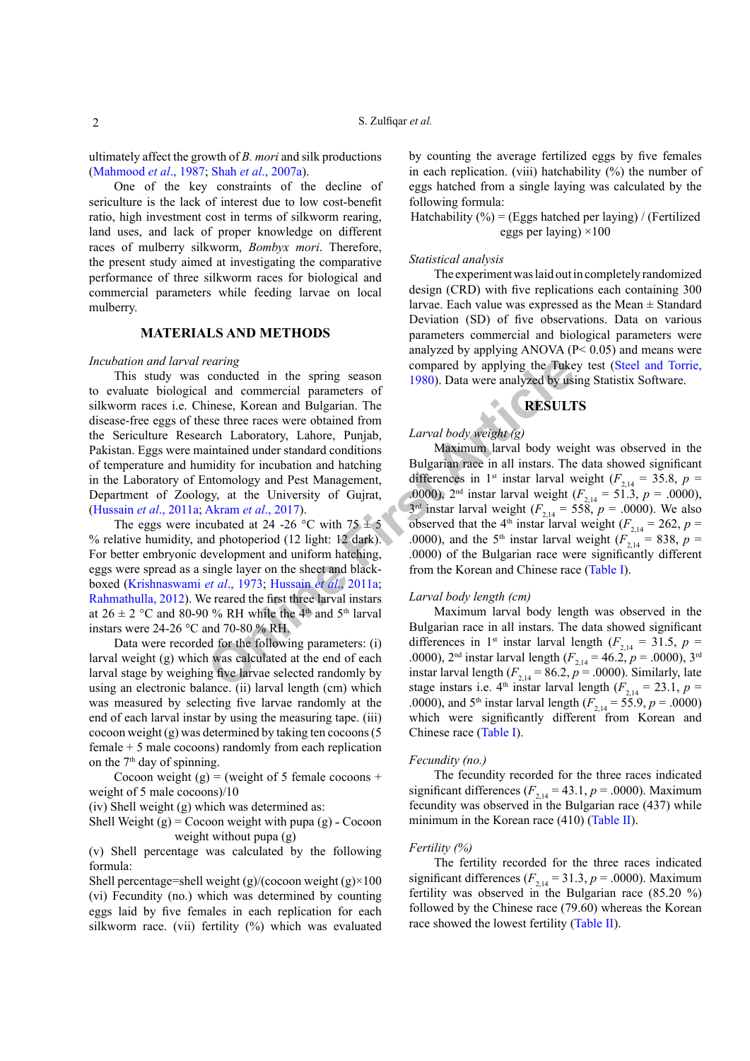ultimately affect the growth of *B. mori* and silk productions [\(Mahmood](#page-4-7) *et al*., 1987; Shah *et al*[., 2007a\)](#page-4-8).

One of the key constraints of the decline of sericulture is the lack of interest due to low cost-benefit ratio, high investment cost in terms of silkworm rearing, land uses, and lack of proper knowledge on different races of mulberry silkworm, *Bombyx mori*. Therefore, the present study aimed at investigating the comparative performance of three silkworm races for biological and commercial parameters while feeding larvae on local mulberry.

# **MATERIALS AND METHODS**

#### *Incubation and larval rearing*

*Conducted* in the spring season compared by applying the Tuke<br>
1 and commercial parameters of<br>
1 and commercial parameters of<br>
ESULT<br>
Incese three races were obtained from<br>
Irrefigure and Bulgarian. The<br>
See three races This study was conducted in the spring season to evaluate biological and commercial parameters of silkworm races i.e. Chinese, Korean and Bulgarian. The disease-free eggs of these three races were obtained from the Sericulture Research Laboratory, Lahore, Punjab, Pakistan. Eggs were maintained under standard conditions of temperature and humidity for incubation and hatching in the Laboratory of Entomology and Pest Management, Department of Zoology, at the University of Gujrat, [\(Hussain](#page-3-4) *et al*., 2011a; Akram *et al*., 2017).

The eggs were incubated at 24 -26 °C with  $75 \pm 5$ % relative humidity, and photoperiod (12 light: 12 dark). For better embryonic development and uniform hatching, eggs were spread as a single layer on the sheet and blackboxed (Krishnaswami *et al*., 1973; Hussain *et al*., 2011a; [Rahmathulla, 2012](#page-4-4)). We reared the first three larval instars at  $26 \pm 2$  °C and 80-90 % RH while the 4<sup>th</sup> and 5<sup>th</sup> larval instars were 24-26 °C and 70-80 % RH.

Data were recorded for the following parameters: (i) larval weight (g) which was calculated at the end of each larval stage by weighing five larvae selected randomly by using an electronic balance. (ii) larval length (cm) which was measured by selecting five larvae randomly at the end of each larval instar by using the measuring tape. (iii) cocoon weight (g) was determined by taking ten cocoons (5 female + 5 male cocoons) randomly from each replication on the  $7<sup>th</sup>$  day of spinning.

Cocoon weight  $(g)$  = (weight of 5 female cocoons + weight of 5 male cocoons)/10

(iv) Shell weight (g) which was determined as:

Shell Weight  $(g)$  = Cocoon weight with pupa  $(g)$  - Cocoon weight without pupa (g)

(v) Shell percentage was calculated by the following formula:

Shell percentage=shell weight  $(g)/(cocoon weight (g) \times 100$ (vi) Fecundity (no.) which was determined by counting eggs laid by five females in each replication for each silkworm race. (vii) fertility (%) which was evaluated by counting the average fertilized eggs by five females in each replication. (viii) hatchability (%) the number of eggs hatched from a single laying was calculated by the following formula:

Hatchability  $(\% ) = (Eggs)$  hatched per laying) / (Fertilized eggs per laying)  $\times 100$ 

#### *Statistical analysis*

The experiment was laid out in completely randomized design (CRD) with five replications each containing 300 larvae. Each value was expressed as the Mean  $\pm$  Standard Deviation (SD) of five observations. Data on various parameters commercial and biological parameters were analyzed by applying ANOVA  $(P< 0.05)$  and means were compared by applying the Tukey test [\(Steel and Torrie,](#page-4-10) 1980). Data were analyzed by using Statistix Software.

# **RESULTS**

# *Larval body weight (g)*

Maximum larval body weight was observed in the Bulgarian race in all instars. The data showed significant differences in 1<sup>st</sup> instar larval weight ( $F_{2,14} = 35.8$ ,  $p =$ .0000), 2<sup>nd</sup> instar larval weight ( $F_{2,14} = 51.3$ ,  $p = .0000$ ),  $3<sup>rd</sup>$  instar larval weight ( $F_{2,14} = 558$ ,  $p = .0000$ ). We also Observed that the 4<sup>th</sup> instar larval weight  $(F_{2,14} = 262, p =$ .0000), and the 5<sup>th</sup> instar larval weight ( $F_{2,14} = 838$ ,  $p =$ .0000) of the Bulgarian race were significantly different from the Korean and Chinese race ([Table I](#page-2-0)).

#### *Larval body length (cm)*

Maximum larval body length was observed in the Bulgarian race in all instars. The data showed significant differences in 1<sup>st</sup> instar larval length ( $F_{2,14}$  = 31.5, *p* = .0000), 2<sup>nd</sup> instar larval length ( $F_{2,14} = 46.2$ ,  $p = .0000$ ), 3<sup>rd</sup> instar larval length  $(F_{2,14} = 86.2, p = .0000)$ . Similarly, late stage instars i.e.  $4^{\text{th}}$  instar larval length ( $F_{2,14} = 23.1$ ,  $p =$ .0000), and 5<sup>th</sup> instar larval length ( $F_{2,14} = 55.9$ ,  $p = .0000$ ) which were significantly different from Korean and Chinese race [\(Table I\)](#page-2-0).

#### *Fecundity (no.)*

The fecundity recorded for the three races indicated significant differences ( $F_{2,14} = 43.1$ ,  $p = .0000$ ). Maximum fecundity was observed in the Bulgarian race (437) while minimum in the Korean race (410) ([Table II\)](#page-2-1).

# *Fertility (%)*

The fertility recorded for the three races indicated significant differences ( $F_{2,14} = 31.3$ ,  $p = .0000$ ). Maximum fertility was observed in the Bulgarian race (85.20 %) followed by the Chinese race (79.60) whereas the Korean race showed the lowest fertility [\(Table II](#page-2-1)).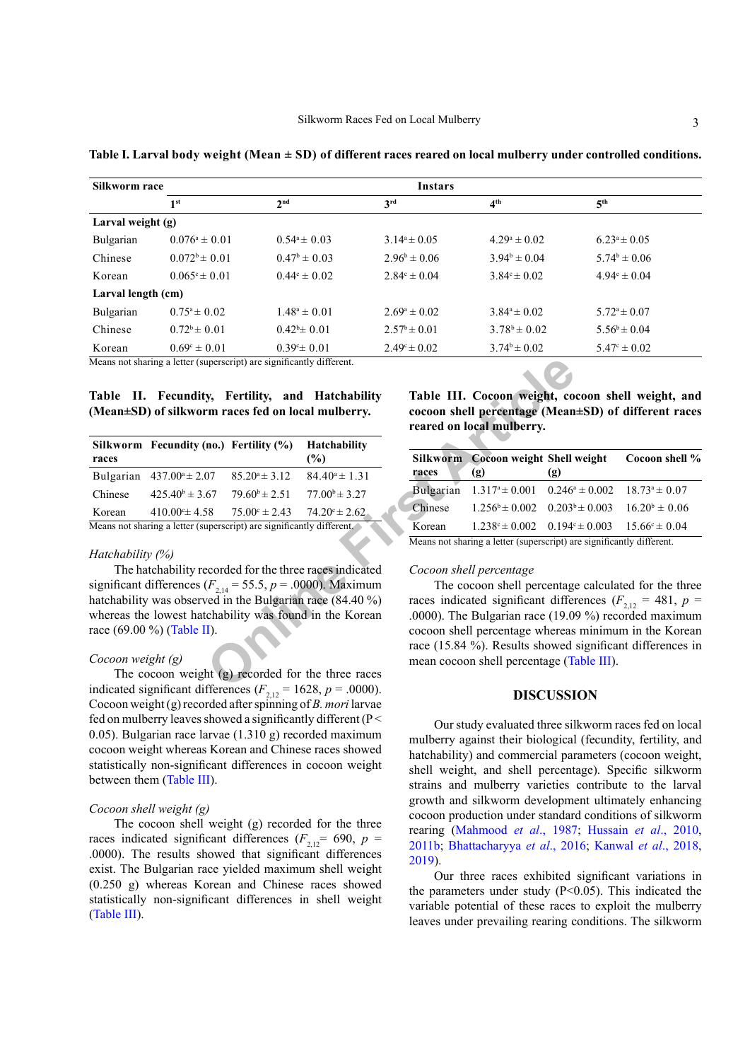| Silkworm race      | Instars                  |                                                                       |                         |                         |                         |  |  |
|--------------------|--------------------------|-----------------------------------------------------------------------|-------------------------|-------------------------|-------------------------|--|--|
|                    | 1 <sup>st</sup>          | 2 <sup>nd</sup>                                                       | 3 <sup>rd</sup>         | 4 <sup>th</sup>         | 5 <sup>th</sup>         |  |  |
| Larval weight (g)  |                          |                                                                       |                         |                         |                         |  |  |
| Bulgarian          | $0.076^a \pm 0.01$       | $0.54^a \pm 0.03$                                                     | $3.14^a \pm 0.05$       | $4.29^a \pm 0.02$       | $6.23^a \pm 0.05$       |  |  |
| Chinese            | $0.072^b \pm 0.01$       | $0.47^{\rm b} \pm 0.03$                                               | $2.96^b \pm 0.06$       | $3.94^b \pm 0.04$       | $5.74^b \pm 0.06$       |  |  |
| Korean             | $0.065^{\circ} \pm 0.01$ | $0.44^{\circ} \pm 0.02$                                               | $2.84^{\circ} \pm 0.04$ | $3.84^{\circ} \pm 0.02$ | $4.94^{\circ} \pm 0.04$ |  |  |
| Larval length (cm) |                          |                                                                       |                         |                         |                         |  |  |
| Bulgarian          | $0.75^{\circ} \pm 0.02$  | $1.48^a \pm 0.01$                                                     | $2.69^a \pm 0.02$       | $3.84^a \pm 0.02$       | $5.72^{\circ} \pm 0.07$ |  |  |
| Chinese            | $0.72^b \pm 0.01$        | $0.42^b \pm 0.01$                                                     | $2.57^{\circ} \pm 0.01$ | $3.78^b \pm 0.02$       | $5.56^b \pm 0.04$       |  |  |
| Korean             | $0.69^{\circ} \pm 0.01$  | $0.39^{\circ}$ = 0.01                                                 | $2.49^{\circ} \pm 0.02$ | $3.74^b \pm 0.02$       | $5.47^{\circ} \pm 0.02$ |  |  |
|                    |                          | Means not sharing a letter (superscript) are significantly different. |                         |                         |                         |  |  |

<span id="page-2-0"></span>**Table I. Larval body weight (Mean ± SD) of different races reared on local mulberry under controlled conditions.**

<span id="page-2-1"></span>

|  | $\cdots$ recommonly, recommonly, where             |  | $\ldots$ |
|--|----------------------------------------------------|--|----------|
|  | (Mean±SD) of silkworm races fed on local mulberry. |  |          |

|                                                                                                                        | Means not sharing a letter (superscript) are significantly different. |                          |                                                                                                                             |           |                                                                                              |                    |  |
|------------------------------------------------------------------------------------------------------------------------|-----------------------------------------------------------------------|--------------------------|-----------------------------------------------------------------------------------------------------------------------------|-----------|----------------------------------------------------------------------------------------------|--------------------|--|
|                                                                                                                        | (Mean±SD) of silkworm races fed on local mulberry.                    |                          | Table II. Fecundity, Fertility, and Hatchability                                                                            |           | Table III. Cocoon weight, co<br>cocoon shell percentage (Mean<br>reared on local mulberry.   |                    |  |
| races                                                                                                                  | Silkworm Fecundity (no.) Fertility (%)                                |                          | <b>Hatchability</b><br>$(\%)$                                                                                               | Silkworm  | <b>Cocoon weight Shell</b>                                                                   |                    |  |
|                                                                                                                        | Bulgarian $437.00^a \pm 2.07$                                         | $85.20^{\circ} \pm 3.12$ | $84.40^a \pm 1.31$                                                                                                          | races     | (g)                                                                                          | (g)                |  |
| Chinese                                                                                                                | $425.40^{\circ} \pm 3.67$                                             | $79.60^{\rm b} \pm 2.51$ | $77.00^{\circ} \pm 3.27$                                                                                                    | Bulgarian | $1.317^{\circ} \pm 0.001$                                                                    | $0.246^{\circ}$    |  |
| Korean                                                                                                                 | $410.00^{\circ}$ ± 4.58                                               | $75.00^{\circ} \pm 2.43$ | $74.20^{\circ} \pm 2.62$                                                                                                    | Chinese   | $1.256^b \pm 0.002$                                                                          | 0.203 <sup>b</sup> |  |
|                                                                                                                        | Means not sharing a letter (superscript) are significantly different. |                          |                                                                                                                             | Korean    | $1.238^{\circ} \pm 0.002$                                                                    | 0.194c             |  |
|                                                                                                                        |                                                                       |                          |                                                                                                                             |           | Means not sharing a letter (superscript) an                                                  |                    |  |
| Hatchability (%)                                                                                                       |                                                                       |                          | The hatchability recorded for the three races indicated<br>significant differences ( $F_{2,14}$ = 55.5, p = .0000). Maximum |           | Cocoon shell percentage<br>The cocoon shell percentage<br>races indicated significant differ |                    |  |
| hatchability was observed in the Bulgarian race $(84.40\%)$<br>whereas the lowest hatchability was found in the Korean |                                                                       |                          |                                                                                                                             |           | .0000). The Bulgarian race $(19.0)$                                                          |                    |  |
| race (69.00 %) (Table II).                                                                                             |                                                                       |                          |                                                                                                                             |           | cocoon shell percentage whereas<br>race $(15.84\%)$ . Results showed                         |                    |  |
| Cocoon weight $(g)$                                                                                                    |                                                                       |                          |                                                                                                                             |           | mean cocoon shell percentage (Ta                                                             |                    |  |
|                                                                                                                        |                                                                       |                          | The cocoon weight $(g)$ recorded for the three races<br>indicated significant differences $(F = 1628 - 0000)$               |           |                                                                                              |                    |  |

#### *Hatchability (%)*

# *Cocoon weight (g)*

The cocoon weight (g) recorded for the three races indicated significant differences  $(F_{2,12} = 1628, p = .0000)$ . Cocoon weight (g) recorded after spinning of *B. mori* larvae fed on mulberry leaves showed a significantly different ( $P \le$ 0.05). Bulgarian race larvae (1.310 g) recorded maximum cocoon weight whereas Korean and Chinese races showed statistically non-significant differences in cocoon weight between them [\(Table III\)](#page-2-2).

#### *Cocoon shell weight (g)*

The cocoon shell weight (g) recorded for the three races indicated significant differences ( $F_{2,12}$ = 690, *p* = .0000). The results showed that significant differences exist. The Bulgarian race yielded maximum shell weight (0.250 g) whereas Korean and Chinese races showed statistically non-significant differences in shell weight [\(Table III\)](#page-2-2).

<span id="page-2-2"></span>**Table III. Cocoon weight, cocoon shell weight, and cocoon shell percentage (Mean±SD) of different races reared on local mulberry.** 

| races                                                                 | Silkworm Cocoon weight Shell weight<br>(g)                                            | (g)                                                                          | Cocoon shell % |  |  |
|-----------------------------------------------------------------------|---------------------------------------------------------------------------------------|------------------------------------------------------------------------------|----------------|--|--|
| Bulgarian                                                             | $1.317^{\text{a}} \pm 0.001$ $0.246^{\text{a}} \pm 0.002$ $18.73^{\text{a}} \pm 0.07$ |                                                                              |                |  |  |
| Chinese                                                               |                                                                                       | $1.256^{\circ} \pm 0.002$ $0.203^{\circ} \pm 0.003$ $16.20^{\circ} \pm 0.06$ |                |  |  |
| Korean                                                                |                                                                                       | $1.238^{\circ} \pm 0.002$ $0.194^{\circ} \pm 0.003$ $15.66^{\circ} \pm 0.04$ |                |  |  |
| Means not sharing a letter (superscript) are significantly different. |                                                                                       |                                                                              |                |  |  |

# *Cocoon shell percentage*

The cocoon shell percentage calculated for the three races indicated significant differences ( $F_{2,12} = 481$ ,  $p =$ .0000). The Bulgarian race (19.09 %) recorded maximum cocoon shell percentage whereas minimum in the Korean race (15.84 %). Results showed significant differences in mean cocoon shell percentage ([Table III](#page-2-2)).

# **DISCUSSION**

Our study evaluated three silkworm races fed on local mulberry against their biological (fecundity, fertility, and hatchability) and commercial parameters (cocoon weight, shell weight, and shell percentage). Specific silkworm strains and mulberry varieties contribute to the larval growth and silkworm development ultimately enhancing cocoon production under standard conditions of silkworm rearing ([Mahmood](#page-4-7) *et al*., 1987; [Hussain](#page-3-3) *et al*., 2010, [2011b](#page-3-4); [Bhattacharyya](#page-3-10) *et al*., 2016; [Kanwal](#page-3-6) *et al*., 2018, [2019\)](#page-3-11).

Our three races exhibited significant variations in the parameters under study  $(P<0.05)$ . This indicated the variable potential of these races to exploit the mulberry leaves under prevailing rearing conditions. The silkworm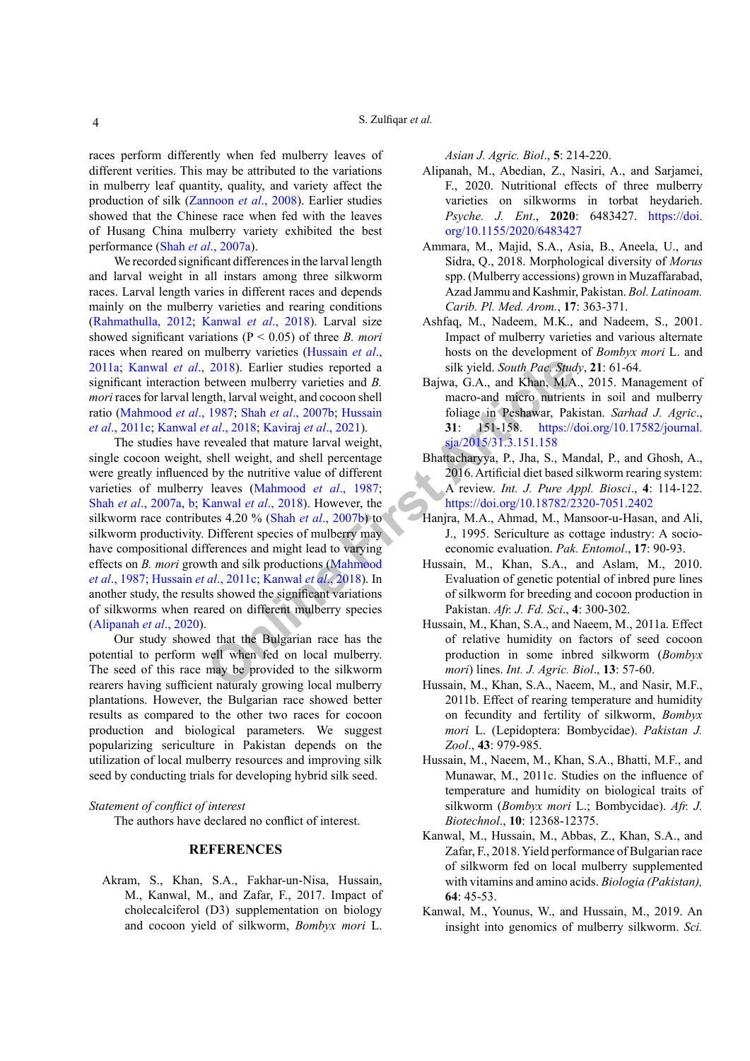races perform differently when fed mulberry leaves of different verities. This may be attributed to the variations in mulberry leaf quantity, quality, and variety affect the production of silk [\(Zannoon](#page-4-11) *et al*., 2008). Earlier studies showed that the Chinese race when fed with the leaves of Husang China mulberry variety exhibited the best performance (Shah *et al*[., 2007a](#page-4-8)).

We recorded significant differences in the larval length and larval weight in all instars among three silkworm races. Larval length varies in different races and depends mainly on the mulberry varieties and rearing conditions [\(Rahmathulla, 2012;](#page-4-4) [Kanwal](#page-3-6) *et al*., 2018). Larval size showed significant variations (P < 0.05) of three *B. mori*  races when reared on mulberry varieties ([Hussain](#page-3-4) *et al*., [2011a;](#page-3-4) [Kanwal](#page-3-6) *et al*., 2018). Earlier studies reported a significant interaction between mulberry varieties and *B. mori* races for larval length, larval weight, and cocoon shell ratio [\(Mahmood](#page-4-7) *et al*., 1987; Shah *et al*., 2007b; Hussain *et al*[., 2011c;](#page-3-7) Kanwal *et al*., 2018; Kaviraj *et al*., 2021).

2018). Earl[i](#page-4-12)er studies reported a<br>
between mulberry varieties and *B*.<br>
Bajwa, G.A., and Khan, M.A<br>
rtal, 2018). Hans et al., 2007b; Hussain foliage in Peshawar, Pak<br>
rtal, 2018; Shah et al., 2021).<br> **SI**<br> **[F](#page-4-7)**ickle in the The studies have revealed that mature larval weight, single cocoon weight, shell weight, and shell percentage were greatly influenced by the nutritive value of different varieties of mulberry leaves (Mahmood *et al*., 1987; Shah *et al*[., 2007a](#page-4-8), [b;](#page-4-12) Kanwal *et al*., 2018). However, the silkworm race contributes 4.20 % (Shah *et al*., 2007b) to silkworm productivity. Different species of mulberry may have compositional differences and might lead to varying effects on *B. mori* growth and silk productions (Mahmood *et al*[., 1987](#page-4-7); Hussain *et al*., 2011c; Kanwal *et al*., 2018). In another study, the results showed the significant variations of silkworms when reared on different mulberry species [\(Alipanah](#page-3-12) *et al*., 2020).

Our study showed that the Bulgarian race has the potential to perform well when fed on local mulberry. The seed of this race may be provided to the silkworm rearers having sufficient naturaly growing local mulberry plantations. However, the Bulgarian race showed better results as compared to the other two races for cocoon production and biological parameters. We suggest popularizing sericulture in Pakistan depends on the utilization of local mulberry resources and improving silk seed by conducting trials for developing hybrid silk seed.

### *Statement of conflict of interest*

The authors have declared no conflict of interest.

### <span id="page-3-11"></span><span id="page-3-6"></span>**REFERENCES**

<span id="page-3-8"></span>Akram, S., Khan, S.A., Fakhar-un-Nisa, Hussain, M., Kanwal, M., and Zafar, F., 2017. Impact of cholecalciferol (D3) supplementation on biology and cocoon yield of silkworm, *Bombyx mori* L.

*Asian J. Agric. Biol*., **5**: 214-220.

- <span id="page-3-12"></span>Alipanah, M., Abedian, Z., Nasiri, A., and Sarjamei, F., 2020. Nutritional effects of three mulberry varieties on silkworms in torbat heydarieh. *Psyche. J. Ent*., **2020**: 6483427. [https://doi.](https://doi.org/10.1155/2020/6483427) [org/10.1155/2020/6483427](https://doi.org/10.1155/2020/6483427)
- <span id="page-3-9"></span>Ammara, M., Majid, S.A., Asia, B., Aneela, U., and Sidra, Q., 2018. Morphological diversity of *Morus*  spp. (Mulberry accessions) grown in Muzaffarabad, Azad Jammu and Kashmir, Pakistan. *Bol. Latinoam. Carib. Pl. Med. Arom.*, **17**: 363-371.
- <span id="page-3-2"></span>Ashfaq, M., Nadeem, M.K., and Nadeem, S., 2001. Impact of mulberry varieties and various alternate hosts on the development of *Bombyx mori* L. and silk yield. *South Pac. Study*, **21**: 61-64.
- <span id="page-3-0"></span>Bajwa, G.A., and Khan, M.A., 2015. Management of macro-and micro nutrients in soil and mulberry foliage in Peshawar, Pakistan. *Sarhad J. Agric*., **31**: 151-158. [https://doi.org/10.17582/journal.](https://doi.org/10.17582/journal.sja/2015/31.3.151.158) sja/2015/31.3.151.158
- <span id="page-3-10"></span>Bhattacharyya, P., Jha, S., Mandal, P., and Ghosh, A., 2016. Artificial diet based silkworm rearing system: A review. *Int. J. Pure Appl. Biosci*., **4**: 114-122. <https://doi.org/10.18782/2320-7051.2402>
- <span id="page-3-7"></span><span id="page-3-5"></span><span id="page-3-4"></span><span id="page-3-3"></span><span id="page-3-1"></span>Hanjra, M.A., Ahmad, M., Mansoor-u-Hasan, and Ali, J., 1995. Sericulture as cottage industry: A socioeconomic evaluation. *Pak. Entomol*., **17**: 90-93.
	- Hussain, M., Khan, S.A., and Aslam, M., 2010. Evaluation of genetic potential of inbred pure lines of silkworm for breeding and cocoon production in Pakistan. *Afr. J. Fd. Sci*., **4**: 300-302.
	- Hussain, M., Khan, S.A., and Naeem, M., 2011a. Effect of relative humidity on factors of seed cocoon production in some inbred silkworm (*Bombyx mori*) lines. *Int. J. Agric. Biol*., **13**: 57-60.
	- Hussain, M., Khan, S.A., Naeem, M., and Nasir, M.F., 2011b. Effect of rearing temperature and humidity on fecundity and fertility of silkworm, *Bombyx mori* L. (Lepidoptera: Bombycidae). *Pakistan J. Zool*., **43**: 979-985.
	- Hussain, M., Naeem, M., Khan, S.A., Bhatti, M.F., and Munawar, M., 2011c. Studies on the influence of temperature and humidity on biological traits of silkworm (*Bombyx mori* L.; Bombycidae). *Afr. J. Biotechnol*., **10**: 12368-12375.
	- Kanwal, M., Hussain, M., Abbas, Z., Khan, S.A., and Zafar, F., 2018. Yield performance of Bulgarian race of silkworm fed on local mulberry supplemented with vitamins and amino acids. *Biologia (Pakistan),* **64**: 45-53.
	- Kanwal, M., Younus, W., and Hussain, M., 2019. An insight into genomics of mulberry silkworm. *Sci.*